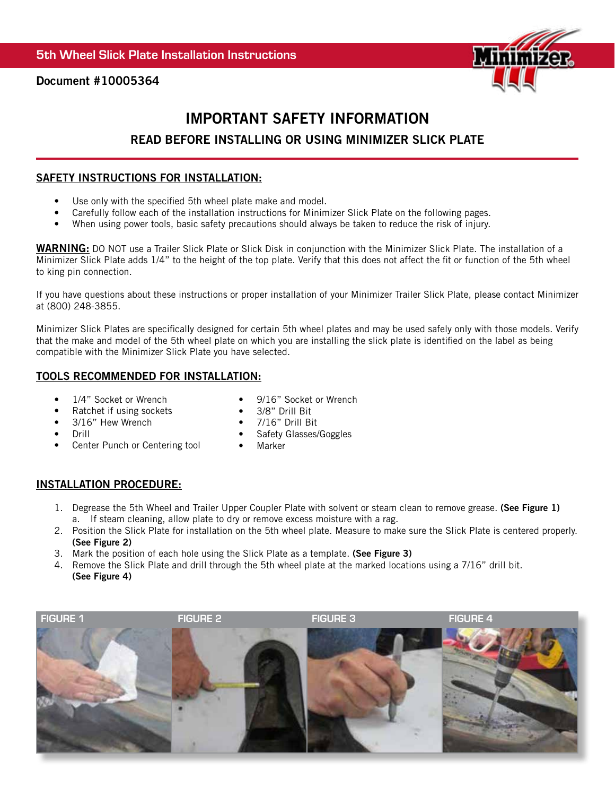

Document #10005364

# IMPORTANT SAFETY INFORMATION READ BEFORE INSTALLING OR USING MINIMIZER SLICK PLATE

## SAFETY INSTRUCTIONS FOR INSTALLATION:

- Use only with the specified 5th wheel plate make and model.
- Carefully follow each of the installation instructions for Minimizer Slick Plate on the following pages.
- When using power tools, basic safety precautions should always be taken to reduce the risk of injury.

WARNING: DO NOT use a Trailer Slick Plate or Slick Disk in conjunction with the Minimizer Slick Plate. The installation of a Minimizer Slick Plate adds 1/4" to the height of the top plate. Verify that this does not affect the fit or function of the 5th wheel to king pin connection.

If you have questions about these instructions or proper installation of your Minimizer Trailer Slick Plate, please contact Minimizer at (800) 248-3855.

Minimizer Slick Plates are specifically designed for certain 5th wheel plates and may be used safely only with those models. Verify that the make and model of the 5th wheel plate on which you are installing the slick plate is identified on the label as being compatible with the Minimizer Slick Plate you have selected.

## TOOLS RECOMMENDED FOR INSTALLATION:

- 1/4" Socket or Wrench
- Ratchet if using sockets
- 9/16" Socket or Wrench • 3/8" Drill Bit
- 3/16" Hew Wrench
- 7/16" Drill Bit • Safety Glasses/Goggles
- Drill
- Center Punch or Centering tool
- Marker

# INSTALLATION PROCEDURE:

- 1. Degrease the 5th Wheel and Trailer Upper Coupler Plate with solvent or steam clean to remove grease. (See Figure 1) a. If steam cleaning, allow plate to dry or remove excess moisture with a rag.
- 2. Position the Slick Plate for installation on the 5th wheel plate. Measure to make sure the Slick Plate is centered properly. (See Figure 2)
- 3. Mark the position of each hole using the Slick Plate as a template. (See Figure 3)
- 4. Remove the Slick Plate and drill through the 5th wheel plate at the marked locations using a 7/16" drill bit. (See Figure 4)